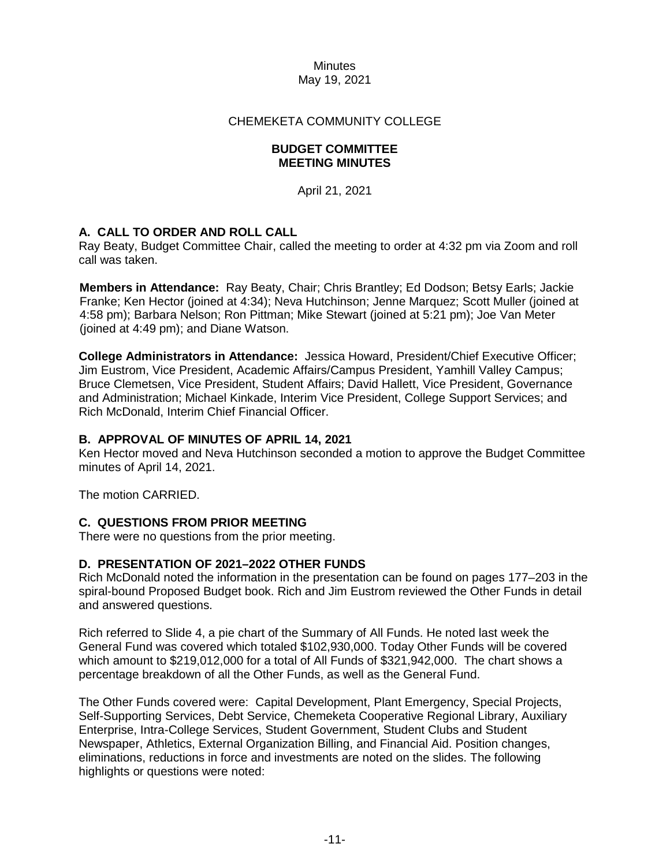# CHEMEKETA COMMUNITY COLLEGE

#### **BUDGET COMMITTEE MEETING MINUTES**

April 21, 2021

# **A. CALL TO ORDER AND ROLL CALL**

Ray Beaty, Budget Committee Chair, called the meeting to order at 4:32 pm via Zoom and roll call was taken.

**Members in Attendance:** Ray Beaty, Chair; Chris Brantley; Ed Dodson; Betsy Earls; Jackie Franke; Ken Hector (joined at 4:34); Neva Hutchinson; Jenne Marquez; Scott Muller (joined at 4:58 pm); Barbara Nelson; Ron Pittman; Mike Stewart (joined at 5:21 pm); Joe Van Meter (joined at 4:49 pm); and Diane Watson.

**College Administrators in Attendance:** Jessica Howard, President/Chief Executive Officer; Jim Eustrom, Vice President, Academic Affairs/Campus President, Yamhill Valley Campus; Bruce Clemetsen, Vice President, Student Affairs; David Hallett, Vice President, Governance and Administration; Michael Kinkade, Interim Vice President, College Support Services; and Rich McDonald, Interim Chief Financial Officer.

#### **B. APPROVAL OF MINUTES OF APRIL 14, 2021**

Ken Hector moved and Neva Hutchinson seconded a motion to approve the Budget Committee minutes of April 14, 2021.

The motion CARRIED.

#### **C. QUESTIONS FROM PRIOR MEETING**

There were no questions from the prior meeting.

#### **D. PRESENTATION OF 2021–2022 OTHER FUNDS**

Rich McDonald noted the information in the presentation can be found on pages 177–203 in the spiral-bound Proposed Budget book. Rich and Jim Eustrom reviewed the Other Funds in detail and answered questions.

Rich referred to Slide 4, a pie chart of the Summary of All Funds. He noted last week the General Fund was covered which totaled \$102,930,000. Today Other Funds will be covered which amount to \$219,012,000 for a total of All Funds of \$321,942,000. The chart shows a percentage breakdown of all the Other Funds, as well as the General Fund.

The Other Funds covered were: Capital Development, Plant Emergency, Special Projects, Self-Supporting Services, Debt Service, Chemeketa Cooperative Regional Library, Auxiliary Enterprise, Intra-College Services, Student Government, Student Clubs and Student Newspaper, Athletics, External Organization Billing, and Financial Aid. Position changes, eliminations, reductions in force and investments are noted on the slides. The following highlights or questions were noted: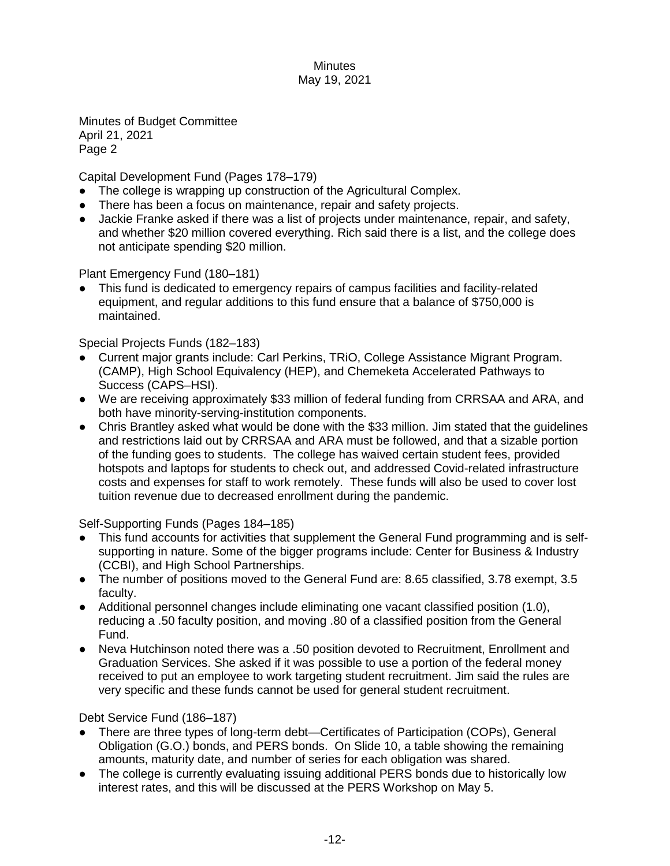Minutes of Budget Committee April 21, 2021 Page 2

Capital Development Fund (Pages 178–179)

- The college is wrapping up construction of the Agricultural Complex.
- There has been a focus on maintenance, repair and safety projects.
- Jackie Franke asked if there was a list of projects under maintenance, repair, and safety, and whether \$20 million covered everything. Rich said there is a list, and the college does not anticipate spending \$20 million.

Plant Emergency Fund (180–181)

This fund is dedicated to emergency repairs of campus facilities and facility-related equipment, and regular additions to this fund ensure that a balance of \$750,000 is maintained.

Special Projects Funds (182–183)

- Current major grants include: Carl Perkins, TRiO, College Assistance Migrant Program. (CAMP), High School Equivalency (HEP), and Chemeketa Accelerated Pathways to Success (CAPS–HSI).
- We are receiving approximately \$33 million of federal funding from CRRSAA and ARA, and both have minority-serving-institution components.
- Chris Brantley asked what would be done with the \$33 million. Jim stated that the guidelines and restrictions laid out by CRRSAA and ARA must be followed, and that a sizable portion of the funding goes to students. The college has waived certain student fees, provided hotspots and laptops for students to check out, and addressed Covid-related infrastructure costs and expenses for staff to work remotely. These funds will also be used to cover lost tuition revenue due to decreased enrollment during the pandemic.

Self-Supporting Funds (Pages 184–185)

- This fund accounts for activities that supplement the General Fund programming and is selfsupporting in nature. Some of the bigger programs include: Center for Business & Industry (CCBI), and High School Partnerships.
- The number of positions moved to the General Fund are: 8.65 classified, 3.78 exempt, 3.5 faculty.
- Additional personnel changes include eliminating one vacant classified position (1.0), reducing a .50 faculty position, and moving .80 of a classified position from the General Fund.
- Neva Hutchinson noted there was a .50 position devoted to Recruitment, Enrollment and Graduation Services. She asked if it was possible to use a portion of the federal money received to put an employee to work targeting student recruitment. Jim said the rules are very specific and these funds cannot be used for general student recruitment.

Debt Service Fund (186–187)

- There are three types of long-term debt—Certificates of Participation (COPs), General Obligation (G.O.) bonds, and PERS bonds. On Slide 10, a table showing the remaining amounts, maturity date, and number of series for each obligation was shared.
- The college is currently evaluating issuing additional PERS bonds due to historically low interest rates, and this will be discussed at the PERS Workshop on May 5.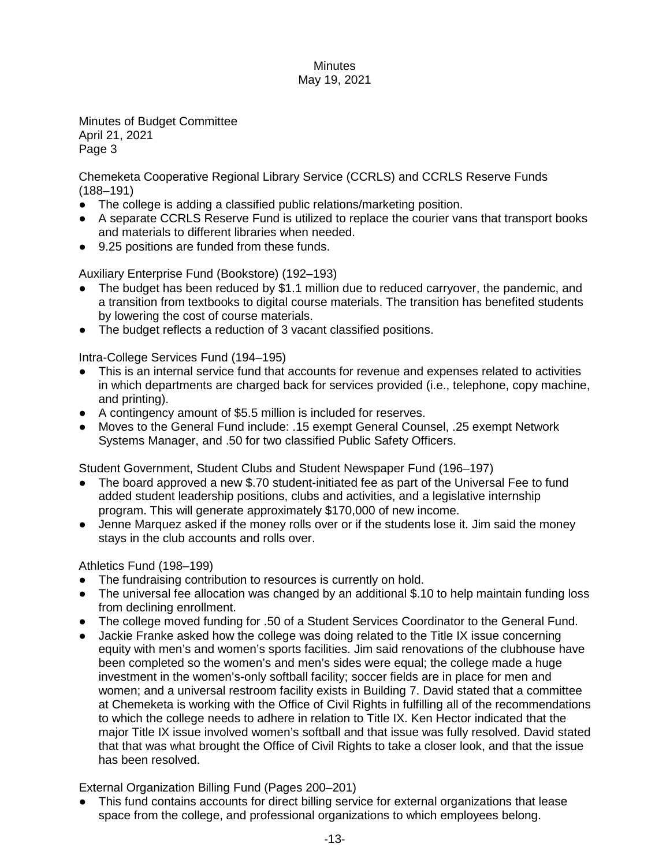Minutes of Budget Committee April 21, 2021 Page 3

Chemeketa Cooperative Regional Library Service (CCRLS) and CCRLS Reserve Funds (188–191)

- The college is adding a classified public relations/marketing position.
- A separate CCRLS Reserve Fund is utilized to replace the courier vans that transport books and materials to different libraries when needed.
- 9.25 positions are funded from these funds.

Auxiliary Enterprise Fund (Bookstore) (192–193)

- The budget has been reduced by \$1.1 million due to reduced carryover, the pandemic, and a transition from textbooks to digital course materials. The transition has benefited students by lowering the cost of course materials.
- The budget reflects a reduction of 3 vacant classified positions.

Intra-College Services Fund (194–195)

- This is an internal service fund that accounts for revenue and expenses related to activities in which departments are charged back for services provided (i.e., telephone, copy machine, and printing).
- A contingency amount of \$5.5 million is included for reserves.
- Moves to the General Fund include: .15 exempt General Counsel, .25 exempt Network Systems Manager, and .50 for two classified Public Safety Officers.

Student Government, Student Clubs and Student Newspaper Fund (196–197)

- The board approved a new \$.70 student-initiated fee as part of the Universal Fee to fund added student leadership positions, clubs and activities, and a legislative internship program. This will generate approximately \$170,000 of new income.
- Jenne Marquez asked if the money rolls over or if the students lose it. Jim said the money stays in the club accounts and rolls over.

Athletics Fund (198–199)

- The fundraising contribution to resources is currently on hold.
- The universal fee allocation was changed by an additional \$.10 to help maintain funding loss from declining enrollment.
- The college moved funding for .50 of a Student Services Coordinator to the General Fund.
- Jackie Franke asked how the college was doing related to the Title IX issue concerning equity with men's and women's sports facilities. Jim said renovations of the clubhouse have been completed so the women's and men's sides were equal; the college made a huge investment in the women's-only softball facility; soccer fields are in place for men and women; and a universal restroom facility exists in Building 7. David stated that a committee at Chemeketa is working with the Office of Civil Rights in fulfilling all of the recommendations to which the college needs to adhere in relation to Title IX. Ken Hector indicated that the major Title IX issue involved women's softball and that issue was fully resolved. David stated that that was what brought the Office of Civil Rights to take a closer look, and that the issue has been resolved.

External Organization Billing Fund (Pages 200–201)

This fund contains accounts for direct billing service for external organizations that lease space from the college, and professional organizations to which employees belong.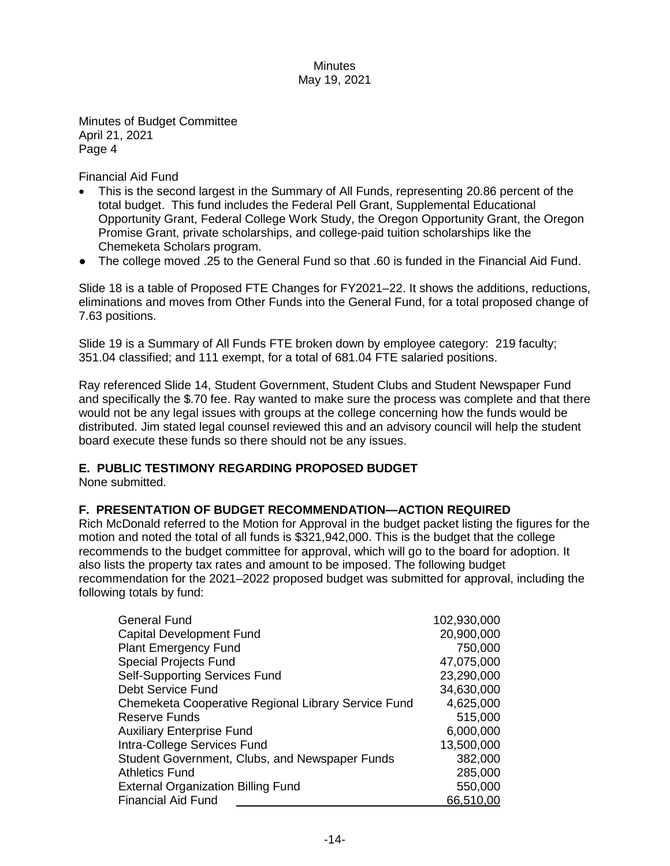Minutes of Budget Committee April 21, 2021 Page 4

Financial Aid Fund

- This is the second largest in the Summary of All Funds, representing 20.86 percent of the total budget. This fund includes the Federal Pell Grant, Supplemental Educational Opportunity Grant, Federal College Work Study, the Oregon Opportunity Grant, the Oregon Promise Grant, private scholarships, and college-paid tuition scholarships like the Chemeketa Scholars program.
- The college moved .25 to the General Fund so that .60 is funded in the Financial Aid Fund.

Slide 18 is a table of Proposed FTE Changes for FY2021–22. It shows the additions, reductions, eliminations and moves from Other Funds into the General Fund, for a total proposed change of 7.63 positions.

Slide 19 is a Summary of All Funds FTE broken down by employee category: 219 faculty; 351.04 classified; and 111 exempt, for a total of 681.04 FTE salaried positions.

Ray referenced Slide 14, Student Government, Student Clubs and Student Newspaper Fund and specifically the \$.70 fee. Ray wanted to make sure the process was complete and that there would not be any legal issues with groups at the college concerning how the funds would be distributed. Jim stated legal counsel reviewed this and an advisory council will help the student board execute these funds so there should not be any issues.

# **E. PUBLIC TESTIMONY REGARDING PROPOSED BUDGET**

None submitted.

# **F. PRESENTATION OF BUDGET RECOMMENDATION—ACTION REQUIRED**

Rich McDonald referred to the Motion for Approval in the budget packet listing the figures for the motion and noted the total of all funds is \$321,942,000. This is the budget that the college recommends to the budget committee for approval, which will go to the board for adoption. It also lists the property tax rates and amount to be imposed. The following budget recommendation for the 2021–2022 proposed budget was submitted for approval, including the following totals by fund:

| <b>General Fund</b>                                 | 102,930,000 |
|-----------------------------------------------------|-------------|
| <b>Capital Development Fund</b>                     | 20,900,000  |
| <b>Plant Emergency Fund</b>                         | 750,000     |
| <b>Special Projects Fund</b>                        | 47,075,000  |
| <b>Self-Supporting Services Fund</b>                | 23,290,000  |
| Debt Service Fund                                   | 34,630,000  |
| Chemeketa Cooperative Regional Library Service Fund | 4,625,000   |
| <b>Reserve Funds</b>                                | 515,000     |
| <b>Auxiliary Enterprise Fund</b>                    | 6,000,000   |
| Intra-College Services Fund                         | 13,500,000  |
| Student Government, Clubs, and Newspaper Funds      | 382,000     |
| <b>Athletics Fund</b>                               | 285,000     |
| <b>External Organization Billing Fund</b>           | 550,000     |
| <b>Financial Aid Fund</b>                           | 66,510,00   |